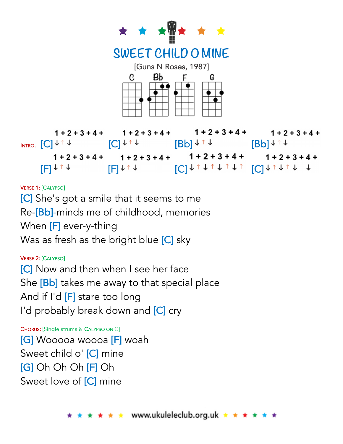

#### VERSE 1: [CALYPSO]

[C] She's got a smile that it seems to me Re-[Bb]-minds me of childhood, memories When [F] ever-y-thing Was as fresh as the bright blue [C] sky

### VERSE 2: [CALYPSO]

[C] Now and then when I see her face She [Bb] takes me away to that special place And if I'd [F] stare too long I'd probably break down and [C] cry

CHORUS: [Single strums & CALYPSO ON C] [G] Wooooa woooa [F] woah Sweet child o' [C] mine [G] Oh Oh Oh [F] Oh Sweet love of [C] mine

\* \* www.ukuleleclub.org.uk \* \* \* \*